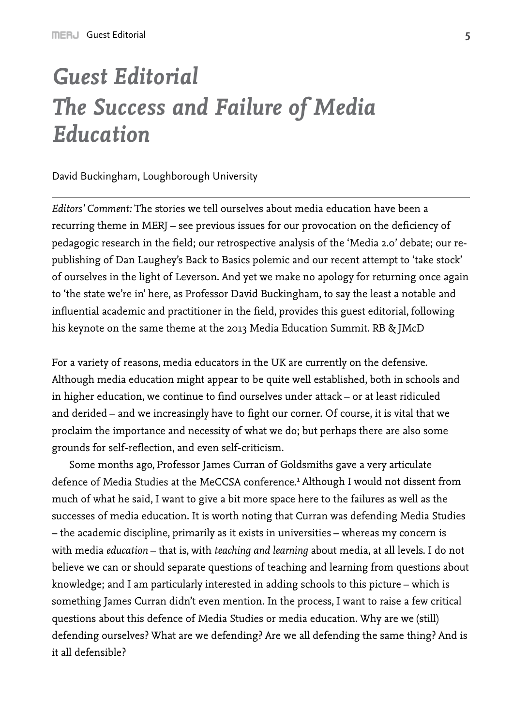# *Guest Editorial The Success and Failure of Media Education*

#### David Buckingham, Loughborough University

*Editors' Comment:* The stories we tell ourselves about media education have been a recurring theme in MERJ – see previous issues for our provocation on the deficiency of pedagogic research in the field; our retrospective analysis of the 'Media 2.0' debate; our republishing of Dan Laughey's Back to Basics polemic and our recent attempt to 'take stock' of ourselves in the light of Leverson. And yet we make no apology for returning once again to 'the state we're in' here, as Professor David Buckingham, to say the least a notable and influential academic and practitioner in the field, provides this guest editorial, following his keynote on the same theme at the 2013 Media Education Summit. RB & JMcD

For a variety of reasons, media educators in the UK are currently on the defensive. Although media education might appear to be quite well established, both in schools and in higher education, we continue to find ourselves under attack – or at least ridiculed and derided – and we increasingly have to fight our corner. Of course, it is vital that we proclaim the importance and necessity of what we do; but perhaps there are also some grounds for self-reflection, and even self-criticism.

Some months ago, Professor James Curran of Goldsmiths gave a very articulate defence of Media Studies at the MeCCSA conference.<sup>1</sup> Although I would not dissent from much of what he said, I want to give a bit more space here to the failures as well as the successes of media education. It is worth noting that Curran was defending Media Studies – the academic discipline, primarily as it exists in universities – whereas my concern is with media *education* – that is, with *teaching and learning* about media, at all levels. I do not believe we can or should separate questions of teaching and learning from questions about knowledge; and I am particularly interested in adding schools to this picture – which is something James Curran didn't even mention. In the process, I want to raise a few critical questions about this defence of Media Studies or media education. Why are we (still) defending ourselves? What are we defending? Are we all defending the same thing? And is it all defensible?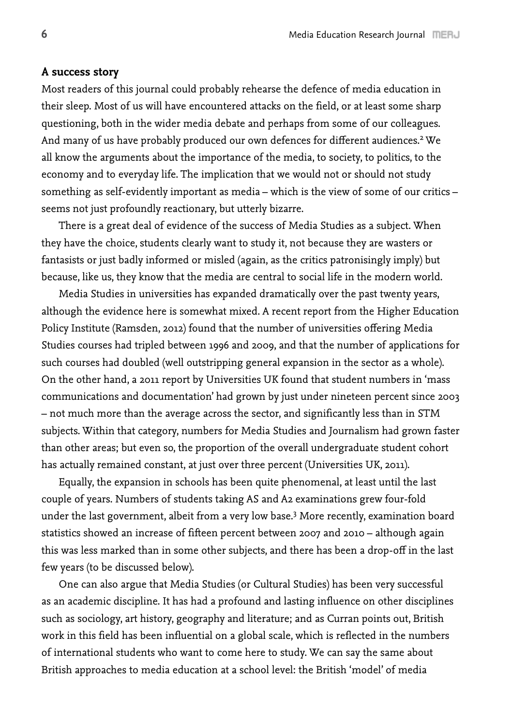# **A success story**

Most readers of this journal could probably rehearse the defence of media education in their sleep. Most of us will have encountered attacks on the field, or at least some sharp questioning, both in the wider media debate and perhaps from some of our colleagues. And many of us have probably produced our own defences for different audiences.<sup>2</sup> We all know the arguments about the importance of the media, to society, to politics, to the economy and to everyday life. The implication that we would not or should not study something as self-evidently important as media – which is the view of some of our critics – seems not just profoundly reactionary, but utterly bizarre.

There is a great deal of evidence of the success of Media Studies as a subject. When they have the choice, students clearly want to study it, not because they are wasters or fantasists or just badly informed or misled (again, as the critics patronisingly imply) but because, like us, they know that the media are central to social life in the modern world.

Media Studies in universities has expanded dramatically over the past twenty years, although the evidence here is somewhat mixed. A recent report from the Higher Education Policy Institute (Ramsden, 2012) found that the number of universities offering Media Studies courses had tripled between 1996 and 2009, and that the number of applications for such courses had doubled (well outstripping general expansion in the sector as a whole). On the other hand, a 2011 report by Universities UK found that student numbers in 'mass communications and documentation' had grown by just under nineteen percent since 2003 – not much more than the average across the sector, and significantly less than in STM subjects. Within that category, numbers for Media Studies and Journalism had grown faster than other areas; but even so, the proportion of the overall undergraduate student cohort has actually remained constant, at just over three percent (Universities UK, 2011).

Equally, the expansion in schools has been quite phenomenal, at least until the last couple of years. Numbers of students taking AS and A2 examinations grew four-fold under the last government, albeit from a very low base.3 More recently, examination board statistics showed an increase of fifteen percent between 2007 and 2010 – although again this was less marked than in some other subjects, and there has been a drop-off in the last few years (to be discussed below).

One can also argue that Media Studies (or Cultural Studies) has been very successful as an academic discipline. It has had a profound and lasting influence on other disciplines such as sociology, art history, geography and literature; and as Curran points out, British work in this field has been influential on a global scale, which is reflected in the numbers of international students who want to come here to study. We can say the same about British approaches to media education at a school level: the British 'model' of media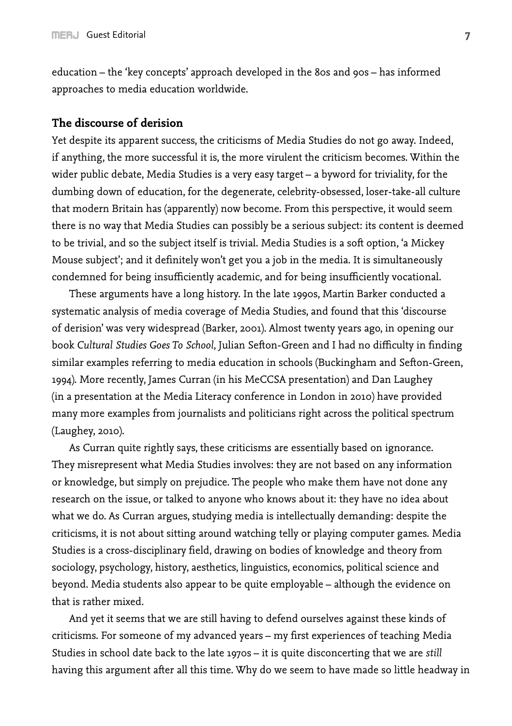education – the 'key concepts' approach developed in the 80s and 90s – has informed approaches to media education worldwide.

## **The discourse of derision**

Yet despite its apparent success, the criticisms of Media Studies do not go away. Indeed, if anything, the more successful it is, the more virulent the criticism becomes. Within the wider public debate, Media Studies is a very easy target – a byword for triviality, for the dumbing down of education, for the degenerate, celebrity-obsessed, loser-take-all culture that modern Britain has (apparently) now become. From this perspective, it would seem there is no way that Media Studies can possibly be a serious subject: its content is deemed to be trivial, and so the subject itself is trivial. Media Studies is a soft option, 'a Mickey Mouse subject'; and it definitely won't get you a job in the media. It is simultaneously condemned for being insufficiently academic, and for being insufficiently vocational.

These arguments have a long history. In the late 1990s, Martin Barker conducted a systematic analysis of media coverage of Media Studies, and found that this 'discourse of derision' was very widespread (Barker, 2001). Almost twenty years ago, in opening our book *Cultural Studies Goes To School*, Julian Sefton-Green and I had no difficulty in finding similar examples referring to media education in schools (Buckingham and Sefton-Green, 1994). More recently, James Curran (in his MeCCSA presentation) and Dan Laughey (in a presentation at the Media Literacy conference in London in 2010) have provided many more examples from journalists and politicians right across the political spectrum (Laughey, 2010).

As Curran quite rightly says, these criticisms are essentially based on ignorance. They misrepresent what Media Studies involves: they are not based on any information or knowledge, but simply on prejudice. The people who make them have not done any research on the issue, or talked to anyone who knows about it: they have no idea about what we do. As Curran argues, studying media is intellectually demanding: despite the criticisms, it is not about sitting around watching telly or playing computer games. Media Studies is a cross-disciplinary field, drawing on bodies of knowledge and theory from sociology, psychology, history, aesthetics, linguistics, economics, political science and beyond. Media students also appear to be quite employable – although the evidence on that is rather mixed.

And yet it seems that we are still having to defend ourselves against these kinds of criticisms. For someone of my advanced years – my first experiences of teaching Media Studies in school date back to the late 1970s – it is quite disconcerting that we are *still*  having this argument after all this time. Why do we seem to have made so little headway in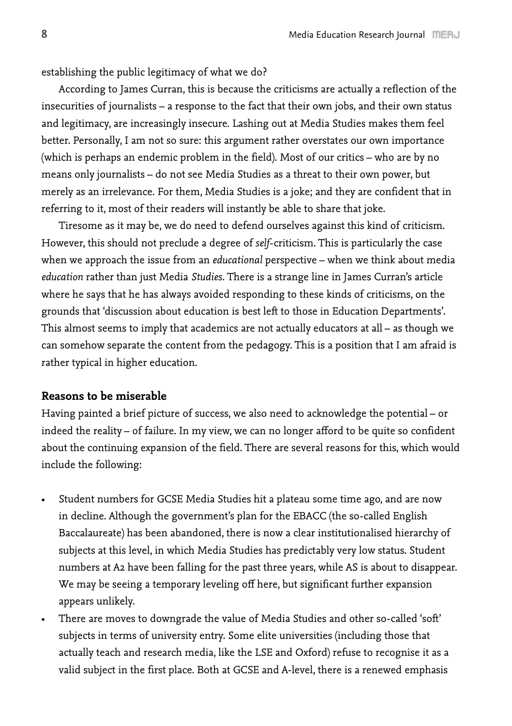establishing the public legitimacy of what we do?

According to James Curran, this is because the criticisms are actually a reflection of the insecurities of journalists – a response to the fact that their own jobs, and their own status and legitimacy, are increasingly insecure. Lashing out at Media Studies makes them feel better. Personally, I am not so sure: this argument rather overstates our own importance (which is perhaps an endemic problem in the field). Most of our critics – who are by no means only journalists – do not see Media Studies as a threat to their own power, but merely as an irrelevance. For them, Media Studies is a joke; and they are confident that in referring to it, most of their readers will instantly be able to share that joke.

Tiresome as it may be, we do need to defend ourselves against this kind of criticism. However, this should not preclude a degree of *self*-criticism. This is particularly the case when we approach the issue from an *educational* perspective – when we think about media *education* rather than just Media *Studies*. There is a strange line in James Curran's article where he says that he has always avoided responding to these kinds of criticisms, on the grounds that 'discussion about education is best left to those in Education Departments'. This almost seems to imply that academics are not actually educators at all – as though we can somehow separate the content from the pedagogy. This is a position that I am afraid is rather typical in higher education.

# **Reasons to be miserable**

Having painted a brief picture of success, we also need to acknowledge the potential – or indeed the reality – of failure. In my view, we can no longer afford to be quite so confident about the continuing expansion of the field. There are several reasons for this, which would include the following:

- • Student numbers for GCSE Media Studies hit a plateau some time ago, and are now in decline. Although the government's plan for the EBACC (the so-called English Baccalaureate) has been abandoned, there is now a clear institutionalised hierarchy of subjects at this level, in which Media Studies has predictably very low status. Student numbers at A2 have been falling for the past three years, while AS is about to disappear. We may be seeing a temporary leveling off here, but significant further expansion appears unlikely.
- There are moves to downgrade the value of Media Studies and other so-called 'soft' subjects in terms of university entry. Some elite universities (including those that actually teach and research media, like the LSE and Oxford) refuse to recognise it as a valid subject in the first place. Both at GCSE and A-level, there is a renewed emphasis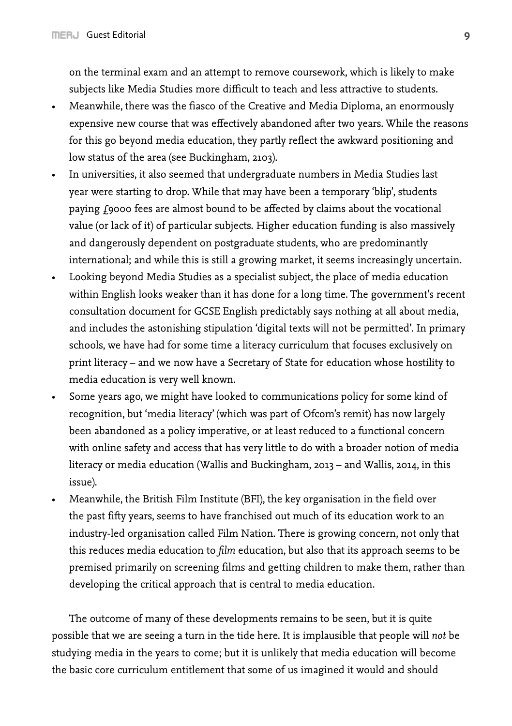on the terminal exam and an attempt to remove coursework, which is likely to make subjects like Media Studies more difficult to teach and less attractive to students.

- Meanwhile, there was the fiasco of the Creative and Media Diploma, an enormously expensive new course that was effectively abandoned after two years. While the reasons for this go beyond media education, they partly reflect the awkward positioning and low status of the area (see Buckingham, 2103).
- In universities, it also seemed that undergraduate numbers in Media Studies last year were starting to drop. While that may have been a temporary 'blip', students paying £9000 fees are almost bound to be affected by claims about the vocational value (or lack of it) of particular subjects. Higher education funding is also massively and dangerously dependent on postgraduate students, who are predominantly international; and while this is still a growing market, it seems increasingly uncertain.
- • Looking beyond Media Studies as a specialist subject, the place of media education within English looks weaker than it has done for a long time. The government's recent consultation document for GCSE English predictably says nothing at all about media, and includes the astonishing stipulation 'digital texts will not be permitted'. In primary schools, we have had for some time a literacy curriculum that focuses exclusively on print literacy – and we now have a Secretary of State for education whose hostility to media education is very well known.
- Some years ago, we might have looked to communications policy for some kind of recognition, but 'media literacy' (which was part of Ofcom's remit) has now largely been abandoned as a policy imperative, or at least reduced to a functional concern with online safety and access that has very little to do with a broader notion of media literacy or media education (Wallis and Buckingham, 2013 – and Wallis, 2014, in this issue).
- • Meanwhile, the British Film Institute (BFI), the key organisation in the field over the past fifty years, seems to have franchised out much of its education work to an industry-led organisation called Film Nation. There is growing concern, not only that this reduces media education to *film* education, but also that its approach seems to be premised primarily on screening films and getting children to make them, rather than developing the critical approach that is central to media education.

The outcome of many of these developments remains to be seen, but it is quite possible that we are seeing a turn in the tide here. It is implausible that people will *not* be studying media in the years to come; but it is unlikely that media education will become the basic core curriculum entitlement that some of us imagined it would and should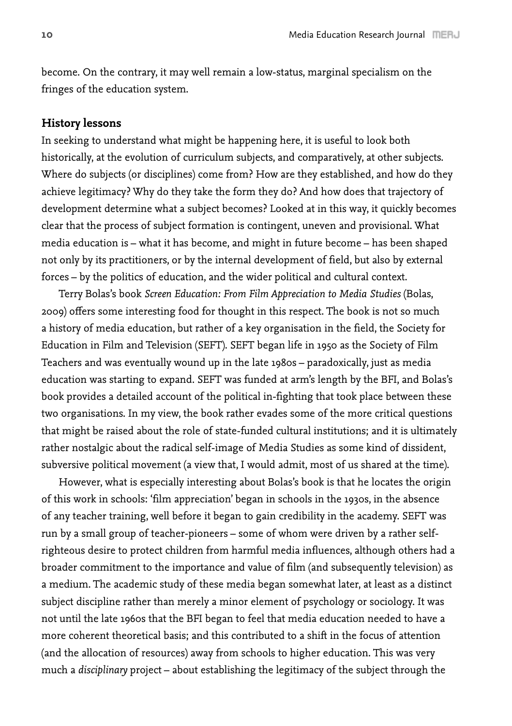become. On the contrary, it may well remain a low-status, marginal specialism on the fringes of the education system.

# **History lessons**

In seeking to understand what might be happening here, it is useful to look both historically, at the evolution of curriculum subjects, and comparatively, at other subjects. Where do subjects (or disciplines) come from? How are they established, and how do they achieve legitimacy? Why do they take the form they do? And how does that trajectory of development determine what a subject becomes? Looked at in this way, it quickly becomes clear that the process of subject formation is contingent, uneven and provisional. What media education is – what it has become, and might in future become – has been shaped not only by its practitioners, or by the internal development of field, but also by external forces – by the politics of education, and the wider political and cultural context.

Terry Bolas's book *Screen Education: From Film Appreciation to Media Studies* (Bolas, 2009) offers some interesting food for thought in this respect. The book is not so much a history of media education, but rather of a key organisation in the field, the Society for Education in Film and Television (SEFT). SEFT began life in 1950 as the Society of Film Teachers and was eventually wound up in the late 1980s – paradoxically, just as media education was starting to expand. SEFT was funded at arm's length by the BFI, and Bolas's book provides a detailed account of the political in-fighting that took place between these two organisations. In my view, the book rather evades some of the more critical questions that might be raised about the role of state-funded cultural institutions; and it is ultimately rather nostalgic about the radical self-image of Media Studies as some kind of dissident, subversive political movement (a view that, I would admit, most of us shared at the time).

However, what is especially interesting about Bolas's book is that he locates the origin of this work in schools: 'film appreciation' began in schools in the 1930s, in the absence of any teacher training, well before it began to gain credibility in the academy. SEFT was run by a small group of teacher-pioneers – some of whom were driven by a rather selfrighteous desire to protect children from harmful media influences, although others had a broader commitment to the importance and value of film (and subsequently television) as a medium. The academic study of these media began somewhat later, at least as a distinct subject discipline rather than merely a minor element of psychology or sociology. It was not until the late 1960s that the BFI began to feel that media education needed to have a more coherent theoretical basis; and this contributed to a shift in the focus of attention (and the allocation of resources) away from schools to higher education. This was very much a *disciplinary* project – about establishing the legitimacy of the subject through the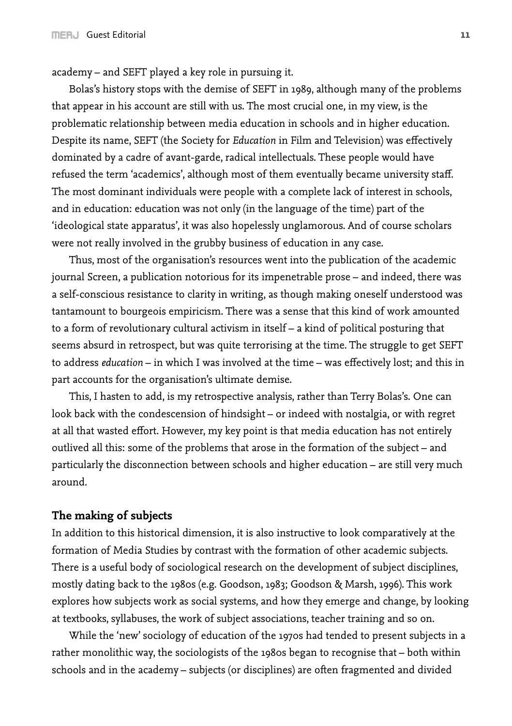academy – and SEFT played a key role in pursuing it.

Bolas's history stops with the demise of SEFT in 1989, although many of the problems that appear in his account are still with us. The most crucial one, in my view, is the problematic relationship between media education in schools and in higher education. Despite its name, SEFT (the Society for *Education* in Film and Television) was effectively dominated by a cadre of avant-garde, radical intellectuals. These people would have refused the term 'academics', although most of them eventually became university staff. The most dominant individuals were people with a complete lack of interest in schools, and in education: education was not only (in the language of the time) part of the 'ideological state apparatus', it was also hopelessly unglamorous. And of course scholars were not really involved in the grubby business of education in any case.

Thus, most of the organisation's resources went into the publication of the academic journal Screen, a publication notorious for its impenetrable prose – and indeed, there was a self-conscious resistance to clarity in writing, as though making oneself understood was tantamount to bourgeois empiricism. There was a sense that this kind of work amounted to a form of revolutionary cultural activism in itself – a kind of political posturing that seems absurd in retrospect, but was quite terrorising at the time. The struggle to get SEFT to address *education* – in which I was involved at the time – was effectively lost; and this in part accounts for the organisation's ultimate demise.

This, I hasten to add, is my retrospective analysis, rather than Terry Bolas's. One can look back with the condescension of hindsight – or indeed with nostalgia, or with regret at all that wasted effort. However, my key point is that media education has not entirely outlived all this: some of the problems that arose in the formation of the subject – and particularly the disconnection between schools and higher education – are still very much around.

#### **The making of subjects**

In addition to this historical dimension, it is also instructive to look comparatively at the formation of Media Studies by contrast with the formation of other academic subjects. There is a useful body of sociological research on the development of subject disciplines, mostly dating back to the 1980s (e.g. Goodson, 1983; Goodson & Marsh, 1996). This work explores how subjects work as social systems, and how they emerge and change, by looking at textbooks, syllabuses, the work of subject associations, teacher training and so on.

While the 'new' sociology of education of the 1970s had tended to present subjects in a rather monolithic way, the sociologists of the 1980s began to recognise that – both within schools and in the academy – subjects (or disciplines) are often fragmented and divided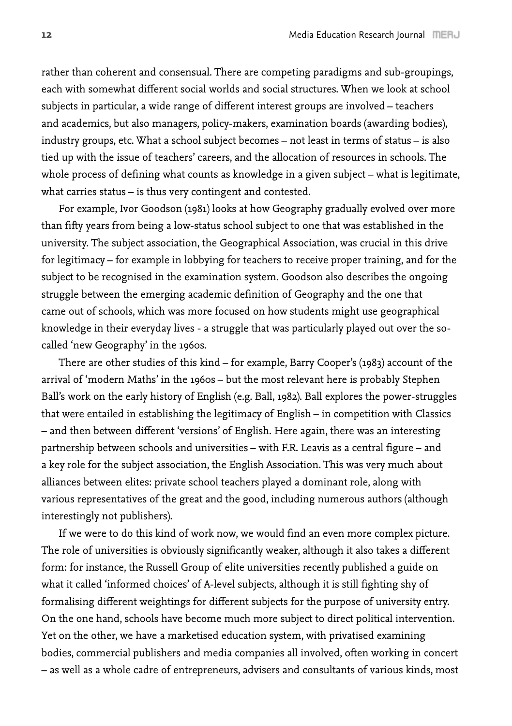rather than coherent and consensual. There are competing paradigms and sub-groupings, each with somewhat different social worlds and social structures. When we look at school subjects in particular, a wide range of different interest groups are involved – teachers and academics, but also managers, policy-makers, examination boards (awarding bodies), industry groups, etc. What a school subject becomes – not least in terms of status – is also tied up with the issue of teachers' careers, and the allocation of resources in schools. The whole process of defining what counts as knowledge in a given subject – what is legitimate, what carries status – is thus very contingent and contested.

For example, Ivor Goodson (1981) looks at how Geography gradually evolved over more than fifty years from being a low-status school subject to one that was established in the university. The subject association, the Geographical Association, was crucial in this drive for legitimacy – for example in lobbying for teachers to receive proper training, and for the subject to be recognised in the examination system. Goodson also describes the ongoing struggle between the emerging academic definition of Geography and the one that came out of schools, which was more focused on how students might use geographical knowledge in their everyday lives - a struggle that was particularly played out over the socalled 'new Geography' in the 1960s.

There are other studies of this kind – for example, Barry Cooper's (1983) account of the arrival of 'modern Maths' in the 1960s – but the most relevant here is probably Stephen Ball's work on the early history of English (e.g. Ball, 1982). Ball explores the power-struggles that were entailed in establishing the legitimacy of English – in competition with Classics – and then between different 'versions' of English. Here again, there was an interesting partnership between schools and universities – with F.R. Leavis as a central figure – and a key role for the subject association, the English Association. This was very much about alliances between elites: private school teachers played a dominant role, along with various representatives of the great and the good, including numerous authors (although interestingly not publishers).

If we were to do this kind of work now, we would find an even more complex picture. The role of universities is obviously significantly weaker, although it also takes a different form: for instance, the Russell Group of elite universities recently published a guide on what it called 'informed choices' of A-level subjects, although it is still fighting shy of formalising different weightings for different subjects for the purpose of university entry. On the one hand, schools have become much more subject to direct political intervention. Yet on the other, we have a marketised education system, with privatised examining bodies, commercial publishers and media companies all involved, often working in concert – as well as a whole cadre of entrepreneurs, advisers and consultants of various kinds, most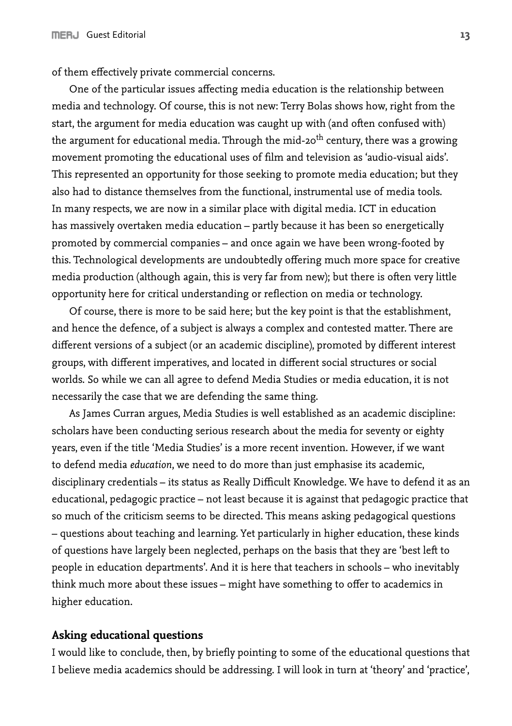of them effectively private commercial concerns.

One of the particular issues affecting media education is the relationship between media and technology. Of course, this is not new: Terry Bolas shows how, right from the start, the argument for media education was caught up with (and often confused with) the argument for educational media. Through the mid-20<sup>th</sup> century, there was a growing movement promoting the educational uses of film and television as 'audio-visual aids'. This represented an opportunity for those seeking to promote media education; but they also had to distance themselves from the functional, instrumental use of media tools. In many respects, we are now in a similar place with digital media. ICT in education has massively overtaken media education – partly because it has been so energetically promoted by commercial companies – and once again we have been wrong-footed by this. Technological developments are undoubtedly offering much more space for creative media production (although again, this is very far from new); but there is often very little opportunity here for critical understanding or reflection on media or technology.

Of course, there is more to be said here; but the key point is that the establishment, and hence the defence, of a subject is always a complex and contested matter. There are different versions of a subject (or an academic discipline), promoted by different interest groups, with different imperatives, and located in different social structures or social worlds. So while we can all agree to defend Media Studies or media education, it is not necessarily the case that we are defending the same thing.

As James Curran argues, Media Studies is well established as an academic discipline: scholars have been conducting serious research about the media for seventy or eighty years, even if the title 'Media Studies' is a more recent invention. However, if we want to defend media *education*, we need to do more than just emphasise its academic, disciplinary credentials – its status as Really Difficult Knowledge. We have to defend it as an educational, pedagogic practice – not least because it is against that pedagogic practice that so much of the criticism seems to be directed. This means asking pedagogical questions – questions about teaching and learning. Yet particularly in higher education, these kinds of questions have largely been neglected, perhaps on the basis that they are 'best left to people in education departments'. And it is here that teachers in schools – who inevitably think much more about these issues – might have something to offer to academics in higher education.

#### **Asking educational questions**

I would like to conclude, then, by briefly pointing to some of the educational questions that I believe media academics should be addressing. I will look in turn at 'theory' and 'practice',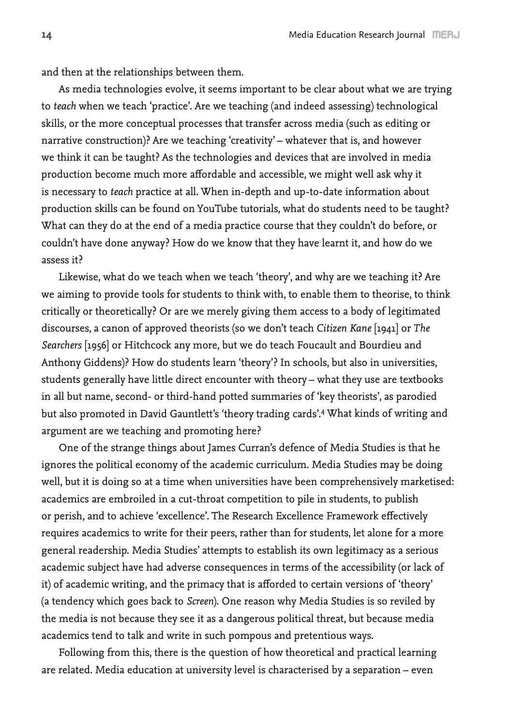and then at the relationships between them.

As media technologies evolve, it seems important to be clear about what we are trying to *teach* when we teach 'practice'. Are we teaching (and indeed assessing) technological skills, or the more conceptual processes that transfer across media (such as editing or narrative construction)? Are we teaching 'creativity' – whatever that is, and however we think it can be taught? As the technologies and devices that are involved in media production become much more affordable and accessible, we might well ask why it is necessary to *teach* practice at all. When in-depth and up-to-date information about production skills can be found on YouTube tutorials, what do students need to be taught? What can they do at the end of a media practice course that they couldn't do before, or couldn't have done anyway? How do we know that they have learnt it, and how do we assess it?

Likewise, what do we teach when we teach 'theory', and why are we teaching it? Are we aiming to provide tools for students to think with, to enable them to theorise, to think critically or theoretically? Or are we merely giving them access to a body of legitimated discourses, a canon of approved theorists (so we don't teach *Citizen Kane* [1941] or *The Searchers* [1956] or Hitchcock any more, but we do teach Foucault and Bourdieu and Anthony Giddens)? How do students learn 'theory'? In schools, but also in universities, students generally have little direct encounter with theory – what they use are textbooks in all but name, second- or third-hand potted summaries of 'key theorists', as parodied but also promoted in David Gauntlett's 'theory trading cards'.4 What kinds of writing and argument are we teaching and promoting here?

One of the strange things about James Curran's defence of Media Studies is that he ignores the political economy of the academic curriculum. Media Studies may be doing well, but it is doing so at a time when universities have been comprehensively marketised: academics are embroiled in a cut-throat competition to pile in students, to publish or perish, and to achieve 'excellence'. The Research Excellence Framework effectively requires academics to write for their peers, rather than for students, let alone for a more general readership. Media Studies' attempts to establish its own legitimacy as a serious academic subject have had adverse consequences in terms of the accessibility (or lack of it) of academic writing, and the primacy that is afforded to certain versions of 'theory' (a tendency which goes back to *Screen*). One reason why Media Studies is so reviled by the media is not because they see it as a dangerous political threat, but because media academics tend to talk and write in such pompous and pretentious ways.

Following from this, there is the question of how theoretical and practical learning are related. Media education at university level is characterised by a separation – even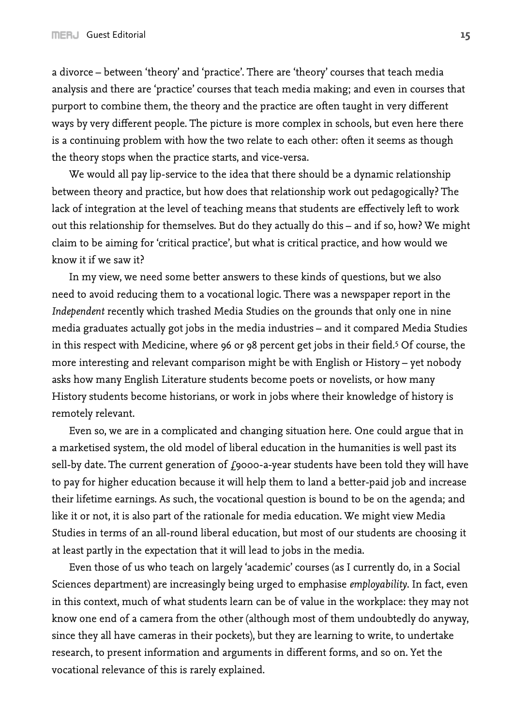a divorce – between 'theory' and 'practice'. There are 'theory' courses that teach media analysis and there are 'practice' courses that teach media making; and even in courses that purport to combine them, the theory and the practice are often taught in very different ways by very different people. The picture is more complex in schools, but even here there is a continuing problem with how the two relate to each other: often it seems as though the theory stops when the practice starts, and vice-versa.

We would all pay lip-service to the idea that there should be a dynamic relationship between theory and practice, but how does that relationship work out pedagogically? The lack of integration at the level of teaching means that students are effectively left to work out this relationship for themselves. But do they actually do this – and if so, how? We might claim to be aiming for 'critical practice', but what is critical practice, and how would we know it if we saw it?

In my view, we need some better answers to these kinds of questions, but we also need to avoid reducing them to a vocational logic. There was a newspaper report in the *Independent* recently which trashed Media Studies on the grounds that only one in nine media graduates actually got jobs in the media industries – and it compared Media Studies in this respect with Medicine, where 96 or 98 percent get jobs in their field.<sup>5</sup> Of course, the more interesting and relevant comparison might be with English or History – yet nobody asks how many English Literature students become poets or novelists, or how many History students become historians, or work in jobs where their knowledge of history is remotely relevant.

Even so, we are in a complicated and changing situation here. One could argue that in a marketised system, the old model of liberal education in the humanities is well past its sell-by date. The current generation of  $f_{9000}$ -a-year students have been told they will have to pay for higher education because it will help them to land a better-paid job and increase their lifetime earnings. As such, the vocational question is bound to be on the agenda; and like it or not, it is also part of the rationale for media education. We might view Media Studies in terms of an all-round liberal education, but most of our students are choosing it at least partly in the expectation that it will lead to jobs in the media.

Even those of us who teach on largely 'academic' courses (as I currently do, in a Social Sciences department) are increasingly being urged to emphasise *employability*. In fact, even in this context, much of what students learn can be of value in the workplace: they may not know one end of a camera from the other (although most of them undoubtedly do anyway, since they all have cameras in their pockets), but they are learning to write, to undertake research, to present information and arguments in different forms, and so on. Yet the vocational relevance of this is rarely explained.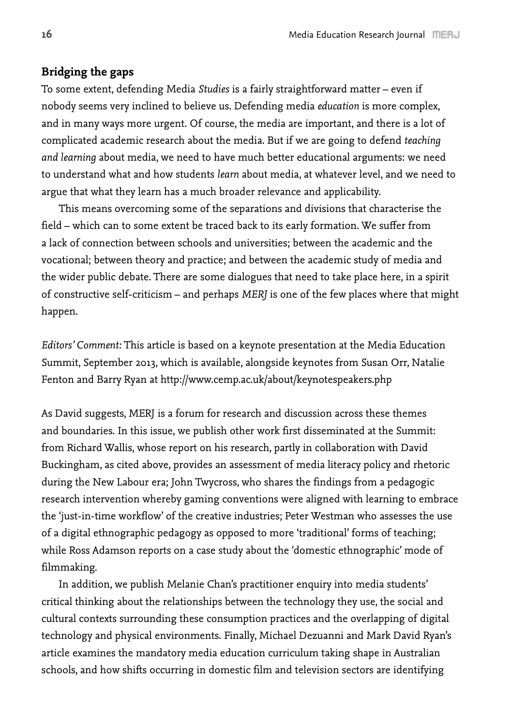# **Bridging the gaps**

To some extent, defending Media *Studies* is a fairly straightforward matter – even if nobody seems very inclined to believe us. Defending media *education* is more complex, and in many ways more urgent. Of course, the media are important, and there is a lot of complicated academic research about the media. But if we are going to defend *teaching and learning* about media, we need to have much better educational arguments: we need to understand what and how students *learn* about media, at whatever level, and we need to argue that what they learn has a much broader relevance and applicability.

This means overcoming some of the separations and divisions that characterise the field – which can to some extent be traced back to its early formation. We suffer from a lack of connection between schools and universities; between the academic and the vocational; between theory and practice; and between the academic study of media and the wider public debate. There are some dialogues that need to take place here, in a spirit of constructive self-criticism – and perhaps *MERJ* is one of the few places where that might happen.

*Editors' Comment:* This article is based on a keynote presentation at the Media Education Summit, September 2013, which is available, alongside keynotes from Susan Orr, Natalie Fenton and Barry Ryan at http://www.cemp.ac.uk/about/keynotespeakers.php

As David suggests, MERJ is a forum for research and discussion across these themes and boundaries. In this issue, we publish other work first disseminated at the Summit: from Richard Wallis, whose report on his research, partly in collaboration with David Buckingham, as cited above, provides an assessment of media literacy policy and rhetoric during the New Labour era; John Twycross, who shares the findings from a pedagogic research intervention whereby gaming conventions were aligned with learning to embrace the 'just-in-time workflow' of the creative industries; Peter Westman who assesses the use of a digital ethnographic pedagogy as opposed to more 'traditional' forms of teaching; while Ross Adamson reports on a case study about the 'domestic ethnographic' mode of filmmaking.

In addition, we publish Melanie Chan's practitioner enquiry into media students' critical thinking about the relationships between the technology they use, the social and cultural contexts surrounding these consumption practices and the overlapping of digital technology and physical environments. Finally, Michael Dezuanni and Mark David Ryan's article examines the mandatory media education curriculum taking shape in Australian schools, and how shifts occurring in domestic film and television sectors are identifying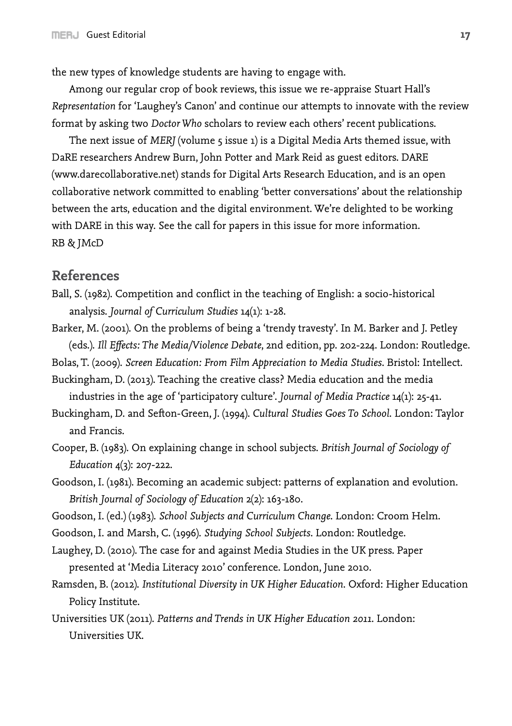the new types of knowledge students are having to engage with.

Among our regular crop of book reviews, this issue we re-appraise Stuart Hall's *Representation* for 'Laughey's Canon' and continue our attempts to innovate with the review format by asking two *Doctor Who* scholars to review each others' recent publications.

The next issue of *MERJ* (volume 5 issue 1) is a Digital Media Arts themed issue, with DaRE researchers Andrew Burn, John Potter and Mark Reid as guest editors. DARE (www.darecollaborative.net) stands for Digital Arts Research Education, and is an open collaborative network committed to enabling 'better conversations' about the relationship between the arts, education and the digital environment. We're delighted to be working with DARE in this way. See the call for papers in this issue for more information. RB & JMcD

# **References**

- Ball, S. (1982). Competition and conflict in the teaching of English: a socio-historical analysis. *Journal of Curriculum Studies* 14(1): 1-28.
- Barker, M. (2001). On the problems of being a 'trendy travesty'. In M. Barker and J. Petley (eds.). *Ill Effects: The Media/Violence Debate*, 2nd edition, pp. 202-224. London: Routledge.
- Bolas, T. (2009). *Screen Education: From Film Appreciation to Media Studies*. Bristol: Intellect.
- Buckingham, D. (2013). Teaching the creative class? Media education and the media industries in the age of 'participatory culture'. *Journal of Media Practice* 14(1): 25-41.
- Buckingham, D. and Sefton-Green, J. (1994). *Cultural Studies Goes To School*. London: Taylor and Francis.
- Cooper, B. (1983). On explaining change in school subjects. *British Journal of Sociology of Education* 4(3): 207-222.
- Goodson, I. (1981). Becoming an academic subject: patterns of explanation and evolution. *British Journal of Sociology of Education* 2(2): 163-180.
- Goodson, I. (ed.) (1983). *School Subjects and Curriculum Change*. London: Croom Helm.
- Goodson, I. and Marsh, C. (1996). *Studying School Subjects*. London: Routledge.
- Laughey, D. (2010). The case for and against Media Studies in the UK press. Paper presented at 'Media Literacy 2010' conference. London, June 2010.
- Ramsden, B. (2012). *Institutional Diversity in UK Higher Education*. Oxford: Higher Education Policy Institute.
- Universities UK (2011). *Patterns and Trends in UK Higher Education 2011*. London: Universities UK.